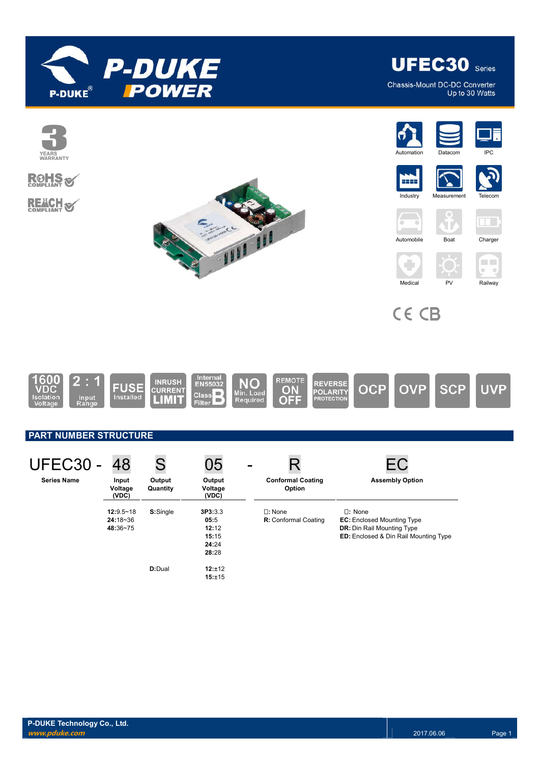



Chassis-Mount DC-DC Converter Up to 30 Watts



**D:**Dual **12:**±12

**15:**±15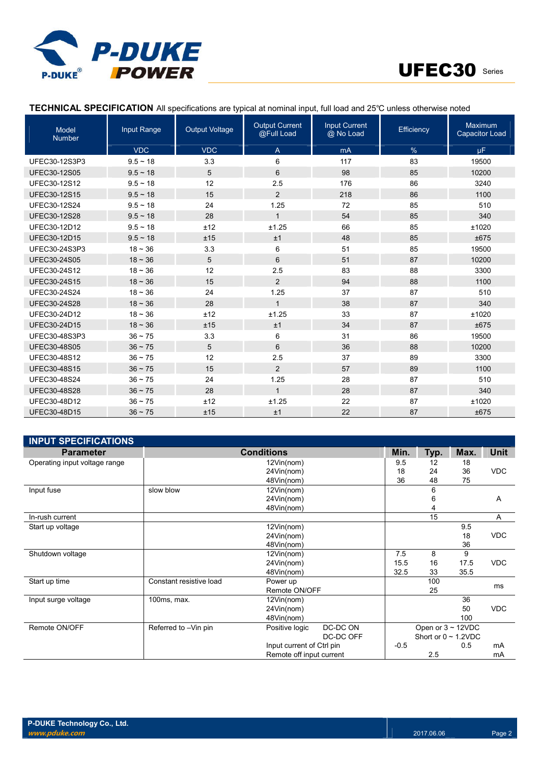



# **TECHNICAL SPECIFICATION** All specifications are typical at nominal input, full load and 25℃ unless otherwise noted

| Model<br><b>Number</b> | Input Range   | <b>Output Voltage</b> | <b>Output Current</b><br>@Full Load | <b>Input Current</b><br>@ No Load | Efficiency | Maximum<br><b>Capacitor Load</b> |
|------------------------|---------------|-----------------------|-------------------------------------|-----------------------------------|------------|----------------------------------|
|                        | <b>VDC</b>    | <b>VDC</b>            | $\overline{A}$                      | mA                                | %          | μF.                              |
| UFEC30-12S3P3          | $9.5 \sim 18$ | 3.3                   | 6                                   | 117                               | 83         | 19500                            |
| <b>UFEC30-12S05</b>    | $9.5 \sim 18$ | 5                     | 6                                   | 98                                | 85         | 10200                            |
| UFEC30-12S12           | $9.5 - 18$    | 12                    | 2.5                                 | 176                               | 86         | 3240                             |
| <b>UFEC30-12S15</b>    | $9.5 \sim 18$ | 15                    | 2                                   | 218                               | 86         | 1100                             |
| UFEC30-12S24           | $9.5 \sim 18$ | 24                    | 1.25                                | 72                                | 85         | 510                              |
| <b>UFEC30-12S28</b>    | $9.5 \sim 18$ | 28                    | $\mathbf{1}$                        | 54                                | 85         | 340                              |
| UFEC30-12D12           | $9.5 - 18$    | ±12                   | ±1.25                               | 66                                | 85         | ±1020                            |
| UFEC30-12D15           | $9.5 \sim 18$ | ±15                   | ±1                                  | 48                                | 85         | ±675                             |
| UFEC30-24S3P3          | $18 - 36$     | 3.3                   | 6                                   | 51                                | 85         | 19500                            |
| <b>UFEC30-24S05</b>    | $18 - 36$     | 5                     | 6                                   | 51                                | 87         | 10200                            |
| UFEC30-24S12           | $18 - 36$     | 12                    | 2.5                                 | 83                                | 88         | 3300                             |
| <b>UFEC30-24S15</b>    | $18 - 36$     | 15                    | 2                                   | 94                                | 88         | 1100                             |
| UFEC30-24S24           | $18 - 36$     | 24                    | 1.25                                | 37                                | 87         | 510                              |
| <b>UFEC30-24S28</b>    | $18 - 36$     | 28                    | $\mathbf{1}$                        | 38                                | 87         | 340                              |
| UFEC30-24D12           | $18 - 36$     | ±12                   | ±1.25                               | 33                                | 87         | ±1020                            |
| UFEC30-24D15           | $18 - 36$     | ±15                   | ±1                                  | 34                                | 87         | ±675                             |
| UFEC30-48S3P3          | $36 \sim 75$  | 3.3                   | 6                                   | 31                                | 86         | 19500                            |
| <b>UFEC30-48S05</b>    | $36 \sim 75$  | 5                     | 6                                   | 36                                | 88         | 10200                            |
| UFEC30-48S12           | $36 \sim 75$  | 12                    | 2.5                                 | 37                                | 89         | 3300                             |
| UFEC30-48S15           | $36 \sim 75$  | 15                    | 2                                   | 57                                | 89         | 1100                             |
| UFEC30-48S24           | $36 - 75$     | 24                    | 1.25                                | 28                                | 87         | 510                              |
| <b>UFEC30-48S28</b>    | $36 - 75$     | 28                    | $\mathbf{1}$                        | 28                                | 87         | 340                              |
| UFEC30-48D12           | $36 \sim 75$  | ±12                   | ±1.25                               | 22                                | 87         | ±1020                            |
| UFEC30-48D15           | $36 \sim 75$  | ±15                   | ±1                                  | 22                                | 87         | ±675                             |

| <b>INPUT SPECIFICATIONS</b>   |                                                    |                           |                         |                           |      |      |            |
|-------------------------------|----------------------------------------------------|---------------------------|-------------------------|---------------------------|------|------|------------|
| <b>Parameter</b>              | <b>Conditions</b>                                  |                           | Min.                    | Typ.                      | Max. | Unit |            |
| Operating input voltage range |                                                    | 12Vin(nom)                |                         | 9.5                       | 12   | 18   |            |
|                               |                                                    | 24Vin(nom)                |                         | 18                        | 24   | 36   | <b>VDC</b> |
|                               |                                                    | 48Vin(nom)                |                         | 36                        | 48   | 75   |            |
| Input fuse                    | slow blow                                          | 12Vin(nom)                |                         |                           | 6    |      |            |
|                               |                                                    | 24Vin(nom)                |                         |                           | 6    |      | Α          |
|                               |                                                    | 48Vin(nom)                |                         |                           | 4    |      |            |
| In-rush current               |                                                    |                           |                         |                           | 15   |      | A          |
| Start up voltage              |                                                    | 12Vin(nom)                |                         |                           |      | 9.5  |            |
|                               |                                                    | 24Vin(nom)                |                         |                           |      | 18   | <b>VDC</b> |
|                               |                                                    | 48Vin(nom)                |                         |                           |      | 36   |            |
| Shutdown voltage              |                                                    | 12Vin(nom)                |                         | 7.5                       | 8    | 9    |            |
|                               |                                                    | 24Vin(nom)                |                         | 15.5                      | 16   | 17.5 | <b>VDC</b> |
|                               |                                                    | 48Vin(nom)                |                         | 32.5                      | 33   | 35.5 |            |
| Start up time                 | Constant resistive load                            | Power up                  |                         |                           | 100  |      | ms         |
|                               |                                                    | Remote ON/OFF             |                         |                           | 25   |      |            |
| Input surge voltage           | 100ms, max.                                        | $12$ Vin(nom)             |                         |                           |      | 36   |            |
|                               |                                                    | 24Vin(nom)                |                         |                           |      | 50   | <b>VDC</b> |
|                               |                                                    | 48Vin(nom)                |                         |                           |      | 100  |            |
| Remote ON/OFF                 | DC-DC ON<br>Referred to -Vin pin<br>Positive logic |                           | Open or $3 \sim 12$ VDC |                           |      |      |            |
|                               | DC-DC OFF                                          |                           |                         | Short or $0 \sim 1.2$ VDC |      |      |            |
|                               |                                                    | Input current of Ctrl pin |                         | $-0.5$                    |      | 0.5  | mA         |
|                               |                                                    | Remote off input current  |                         |                           | 2.5  |      | mA         |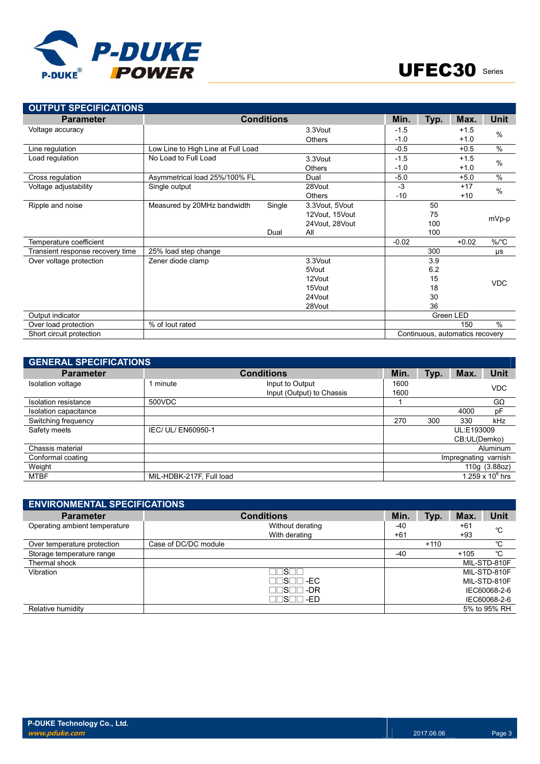

| <b>OUTPUT SPECIFICATIONS</b>     |                                    |                   |                |         |      |                                 |             |
|----------------------------------|------------------------------------|-------------------|----------------|---------|------|---------------------------------|-------------|
| <b>Parameter</b>                 |                                    | <b>Conditions</b> |                | Min.    | Typ. | Max.                            | <b>Unit</b> |
| Voltage accuracy                 |                                    |                   | 3.3Vout        | $-1.5$  |      | $+1.5$                          | $\%$        |
|                                  |                                    |                   | Others         | $-1.0$  |      | $+1.0$                          |             |
| Line regulation                  | Low Line to High Line at Full Load |                   |                | $-0.5$  |      | $+0.5$                          | $\%$        |
| Load regulation                  | No Load to Full Load               |                   | 3.3Vout        | $-1.5$  |      | $+1.5$                          | $\%$        |
|                                  |                                    |                   | <b>Others</b>  | $-1.0$  |      | $+1.0$                          |             |
| Cross regulation                 | Asymmetrical load 25%/100% FL      |                   | Dual           | $-5.0$  |      | $+5.0$                          | $\%$        |
| Voltage adjustability            | Single output                      |                   | 28Vout         | $-3$    |      | $+17$                           | $\%$        |
|                                  |                                    |                   | <b>Others</b>  | $-10$   |      | $+10$                           |             |
| Ripple and noise                 | Measured by 20MHz bandwidth        | Single            | 3.3Vout, 5Vout |         | 50   |                                 |             |
|                                  |                                    |                   | 12Vout, 15Vout |         | 75   |                                 | mVp-p       |
|                                  |                                    |                   | 24Vout, 28Vout |         | 100  |                                 |             |
|                                  |                                    | Dual              | All            |         | 100  |                                 |             |
| Temperature coefficient          |                                    |                   |                | $-0.02$ |      | $+0.02$                         | $\%$ /°C    |
| Transient response recovery time | 25% load step change               |                   |                |         | 300  |                                 | μs          |
| Over voltage protection          | Zener diode clamp                  |                   | 3.3Vout        |         | 3.9  |                                 |             |
|                                  |                                    |                   | 5Vout          |         | 6.2  |                                 |             |
|                                  |                                    |                   | 12Vout         |         | 15   |                                 | <b>VDC</b>  |
|                                  |                                    |                   | 15Vout         |         | 18   |                                 |             |
|                                  |                                    |                   | 24Vout         |         | 30   |                                 |             |
|                                  |                                    |                   | 28Vout         |         | 36   |                                 |             |
| Output indicator                 |                                    |                   |                |         |      | Green LED                       |             |
| Over load protection             | % of lout rated                    |                   |                |         |      | 150                             | $\%$        |
| Short circuit protection         |                                    |                   |                |         |      | Continuous, automatics recovery |             |

| <b>GENERAL SPECIFICATIONS</b> |                          |                                              |                      |      |                            |                    |
|-------------------------------|--------------------------|----------------------------------------------|----------------------|------|----------------------------|--------------------|
| <b>Parameter</b>              |                          | <b>Conditions</b>                            | Min.                 | Typ. | Max.                       | <b>Unit</b>        |
| <b>Isolation voltage</b>      | 1 minute                 | Input to Output<br>Input (Output) to Chassis | 1600<br>1600         |      |                            | <b>VDC</b>         |
| Isolation resistance          | 500VDC                   |                                              |                      |      |                            | $G\Omega$          |
| Isolation capacitance         |                          |                                              |                      |      | 4000                       | pF                 |
| Switching frequency           |                          |                                              | 270                  | 300  | 330                        | kHz                |
| Safety meets                  | IEC/ UL/ EN60950-1       |                                              |                      |      | UL:E193009<br>CB:UL(Demko) |                    |
| Chassis material              |                          |                                              |                      |      |                            | Aluminum           |
| Conformal coating             |                          |                                              | Impregnating varnish |      |                            |                    |
| Weight                        |                          |                                              | 110g (3.88oz)        |      |                            |                    |
| <b>MTBF</b>                   | MIL-HDBK-217F, Full load |                                              |                      |      |                            | 1.259 x $10^6$ hrs |

| <b>ENVIRONMENTAL SPECIFICATIONS</b> |                         |       |        |        |              |
|-------------------------------------|-------------------------|-------|--------|--------|--------------|
| <b>Parameter</b>                    | <b>Conditions</b>       | Min.  | Typ.   | Max.   | Unit         |
| Operating ambient temperature       | Without derating        | -40   |        | $+61$  | °C           |
|                                     | With derating           | $+61$ |        | +93    |              |
| Over temperature protection         | Case of DC/DC module    |       | $+110$ |        | °C           |
| Storage temperature range           |                         | $-40$ |        | $+105$ | °C           |
| Thermal shock                       |                         |       |        |        | MIL-STD-810F |
| Vibration                           | $S\Box$                 |       |        |        | MIL-STD-810F |
|                                     | $\sqcap$ s $\sqcap$ -ec |       |        |        | MIL-STD-810F |
|                                     | ∏S∏∏ -DR                |       |        |        | IEC60068-2-6 |
|                                     | ∏S⊟⊟ -ED                |       |        |        | IEC60068-2-6 |
| Relative humidity                   |                         |       |        |        | 5% to 95% RH |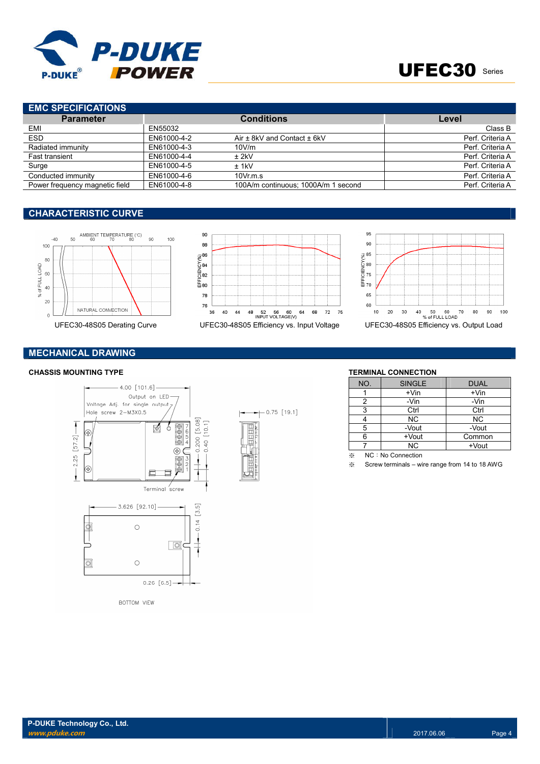

# UFEC30 Series

# **EMC SPECIFICATIONS**

| <b>Parameter</b>               |             | <b>Conditions</b>                   | Level            |
|--------------------------------|-------------|-------------------------------------|------------------|
| EMI                            | EN55032     |                                     | Class B          |
| <b>ESD</b>                     | EN61000-4-2 | Air $\pm$ 8kV and Contact $\pm$ 6kV | Perf. Criteria A |
| Radiated immunity              | EN61000-4-3 | 10V/m                               | Perf. Criteria A |
| <b>Fast transient</b>          | EN61000-4-4 | $±$ 2kV                             | Perf. Criteria A |
| Surge                          | EN61000-4-5 | $±$ 1kV                             | Perf. Criteria A |
| Conducted immunity             | EN61000-4-6 | $10Vr$ m.s.                         | Perf. Criteria A |
| Power frequency magnetic field | EN61000-4-8 | 100A/m continuous; 1000A/m 1 second | Perf. Criteria A |

## **CHARACTERISTIC CURVE**





 $+$  0.75 [19.1]



# **MECHANICAL DRAWING**

### **CHASSIS MOUNTING TYPE TERMINAL CONNECTION**



| NO. | <b>SINGLE</b> | <b>DUAL</b> |
|-----|---------------|-------------|
|     | $+V$ in       | $+V$ in     |
| 2   | -Vin          | -Vin        |
| 3   | Ctrl          | Ctrl        |
|     | <b>NC</b>     | <b>NC</b>   |
| 5   | -Vout         | -Vout       |
|     | +Vout         | Common      |
|     | <b>NC</b>     | +Vout       |

※ NC:No Connection

※ Screw terminals – wire range from 14 to 18 AWG

**BOTTOM VIEW**